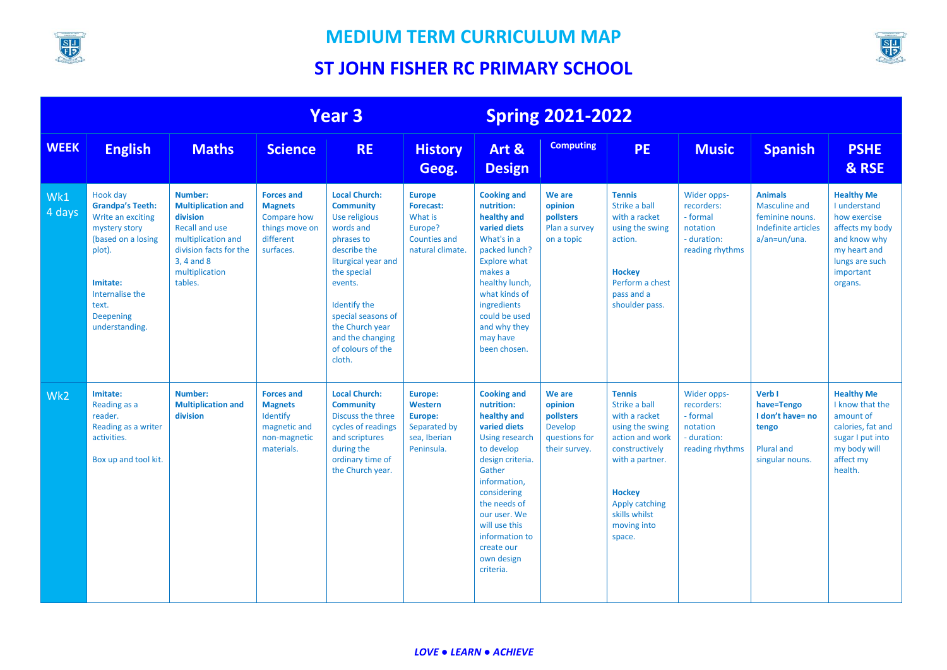

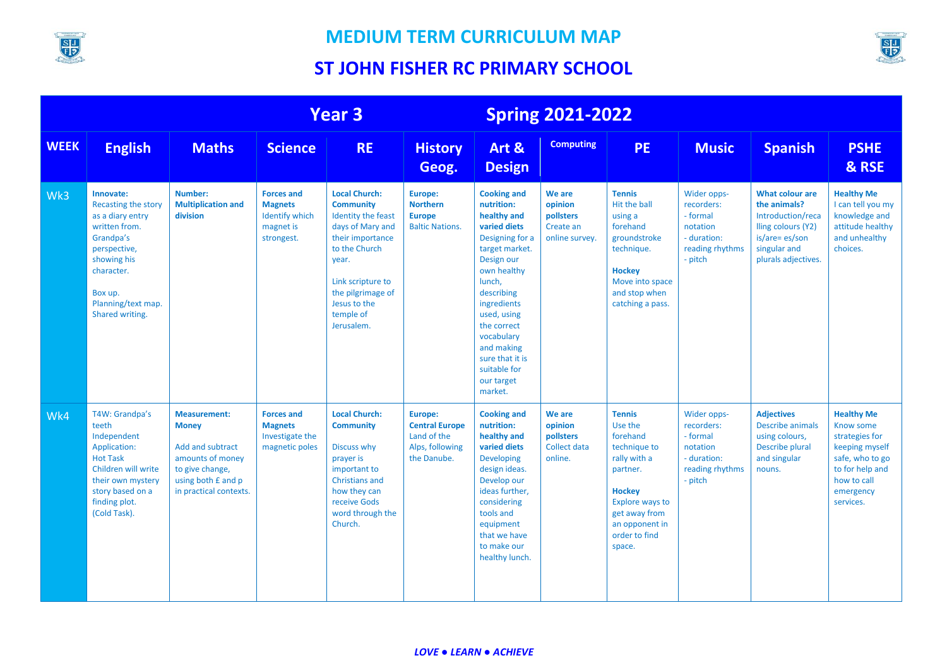

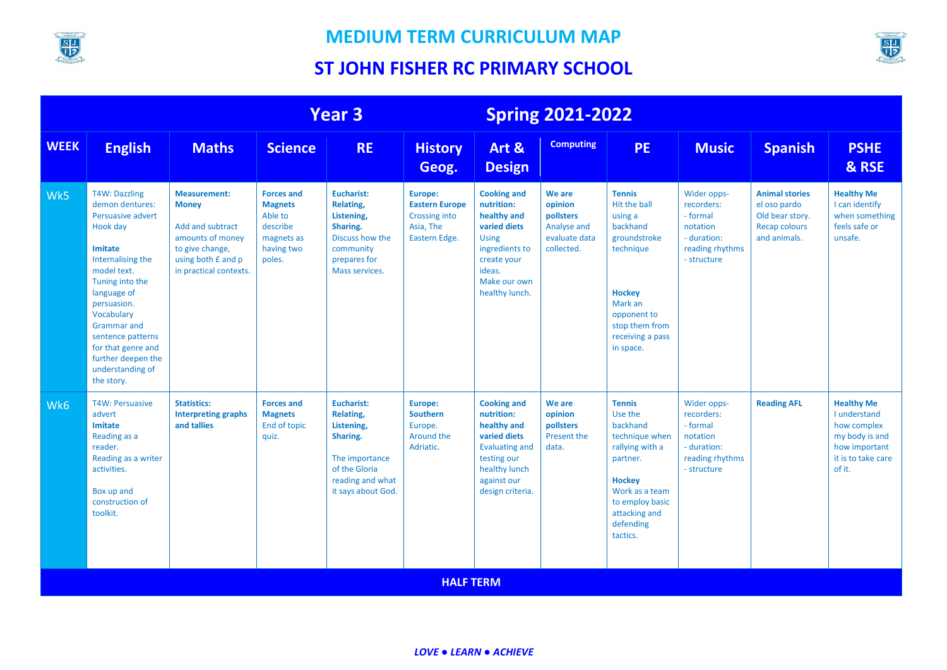

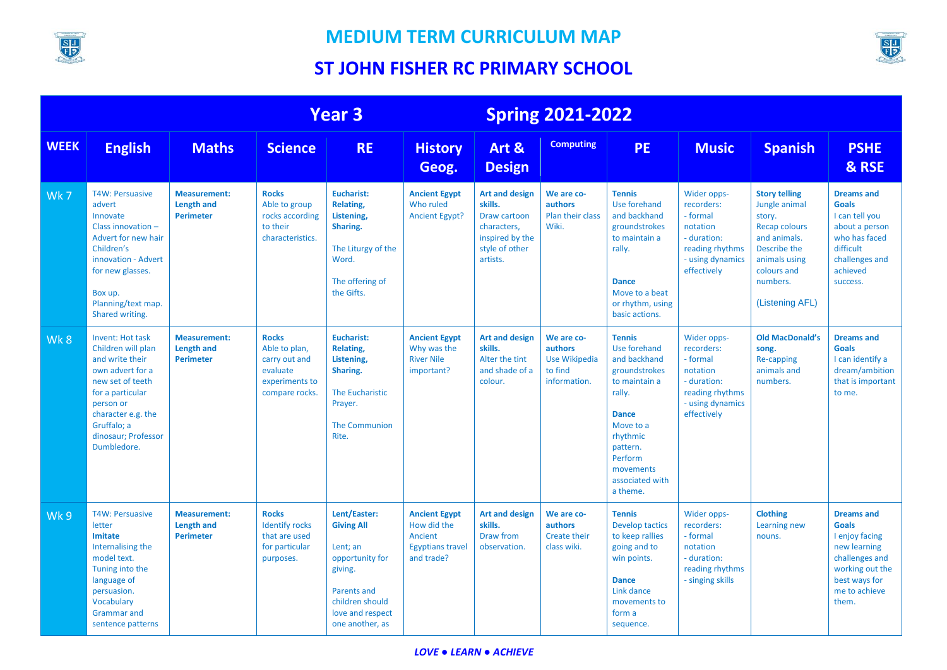



|             | <b>Year 3</b>                                                                                                                                                                                                        |                                                              |                                                                                                | <b>Spring 2021-2022</b>                                                                                                                              |                                                                                         |                                                                                                                  |                                                                          |                                                                                                                                                                                                       |                                                                                                                        |                                                                                                                                                                        |                                                                                                                                                     |
|-------------|----------------------------------------------------------------------------------------------------------------------------------------------------------------------------------------------------------------------|--------------------------------------------------------------|------------------------------------------------------------------------------------------------|------------------------------------------------------------------------------------------------------------------------------------------------------|-----------------------------------------------------------------------------------------|------------------------------------------------------------------------------------------------------------------|--------------------------------------------------------------------------|-------------------------------------------------------------------------------------------------------------------------------------------------------------------------------------------------------|------------------------------------------------------------------------------------------------------------------------|------------------------------------------------------------------------------------------------------------------------------------------------------------------------|-----------------------------------------------------------------------------------------------------------------------------------------------------|
| <b>WEEK</b> | <b>English</b>                                                                                                                                                                                                       | <b>Maths</b>                                                 | <b>Science</b>                                                                                 | <b>RE</b>                                                                                                                                            | <b>History</b><br>Geog.                                                                 | Art &<br><b>Design</b>                                                                                           | <b>Computing</b>                                                         | <b>PE</b>                                                                                                                                                                                             | <b>Music</b>                                                                                                           | <b>Spanish</b>                                                                                                                                                         | <b>PSHE</b><br>& RSE                                                                                                                                |
| Wk7         | <b>T4W: Persuasive</b><br>advert<br>Innovate<br>Class innovation -<br>Advert for new hair<br>Children's<br>innovation - Advert<br>for new glasses.<br>Box up.<br>Planning/text map.<br>Shared writing.               | <b>Measurement:</b><br><b>Length and</b><br><b>Perimeter</b> | <b>Rocks</b><br>Able to group<br>rocks according<br>to their<br>characteristics.               | <b>Eucharist:</b><br>Relating,<br>Listening,<br>Sharing.<br>The Liturgy of the<br>Word.<br>The offering of<br>the Gifts.                             | <b>Ancient Egypt</b><br>Who ruled<br><b>Ancient Egypt?</b>                              | <b>Art and design</b><br>skills.<br>Draw cartoon<br>characters,<br>inspired by the<br>style of other<br>artists. | We are co-<br>authors<br>Plan their class<br>Wiki.                       | <b>Tennis</b><br>Use forehand<br>and backhand<br>groundstrokes<br>to maintain a<br>rally.<br><b>Dance</b><br>Move to a beat<br>or rhythm, using<br>basic actions.                                     | Wider opps-<br>recorders:<br>- formal<br>notation<br>- duration:<br>reading rhythms<br>- using dynamics<br>effectively | <b>Story telling</b><br>Jungle animal<br>story.<br><b>Recap colours</b><br>and animals.<br>Describe the<br>animals using<br>colours and<br>numbers.<br>(Listening AFL) | <b>Dreams and</b><br><b>Goals</b><br>I can tell you<br>about a person<br>who has faced<br>difficult<br>challenges and<br>achieved<br>success.       |
| Wk8         | <b>Invent: Hot task</b><br>Children will plan<br>and write their<br>own advert for a<br>new set of teeth<br>for a particular<br>person or<br>character e.g. the<br>Gruffalo; a<br>dinosaur; Professor<br>Dumbledore. | <b>Measurement:</b><br><b>Length and</b><br><b>Perimeter</b> | <b>Rocks</b><br>Able to plan,<br>carry out and<br>evaluate<br>experiments to<br>compare rocks. | <b>Eucharist:</b><br>Relating,<br>Listening,<br>Sharing.<br>The Eucharistic<br>Prayer.<br><b>The Communion</b><br>Rite.                              | <b>Ancient Egypt</b><br>Why was the<br><b>River Nile</b><br>important?                  | <b>Art and design</b><br>skills.<br>Alter the tint<br>and shade of a<br>colour.                                  | We are co-<br>authors<br><b>Use Wikipedia</b><br>to find<br>information. | <b>Tennis</b><br>Use forehand<br>and backhand<br>groundstrokes<br>to maintain a<br>rally.<br><b>Dance</b><br>Move to a<br>rhythmic<br>pattern.<br>Perform<br>movements<br>associated with<br>a theme. | Wider opps-<br>recorders:<br>- formal<br>notation<br>- duration:<br>reading rhythms<br>- using dynamics<br>effectively | <b>Old MacDonald's</b><br>song.<br>Re-capping<br>animals and<br>numbers.                                                                                               | <b>Dreams and</b><br><b>Goals</b><br>I can identify a<br>dream/ambition<br>that is important<br>to me.                                              |
| Wk 9        | <b>T4W: Persuasive</b><br>letter<br>Imitate<br>Internalising the<br>model text.<br>Tuning into the<br>language of<br>persuasion.<br>Vocabulary<br><b>Grammar</b> and<br>sentence patterns                            | <b>Measurement:</b><br><b>Length and</b><br><b>Perimeter</b> | <b>Rocks</b><br><b>Identify rocks</b><br>that are used<br>for particular<br>purposes.          | Lent/Easter:<br><b>Giving All</b><br>Lent; an<br>opportunity for<br>giving.<br>Parents and<br>children should<br>love and respect<br>one another, as | <b>Ancient Egypt</b><br>How did the<br>Ancient<br><b>Egyptians travel</b><br>and trade? | <b>Art and design</b><br>skills.<br>Draw from<br>observation.                                                    | We are co-<br>authors<br>Create their<br>class wiki.                     | <b>Tennis</b><br><b>Develop tactics</b><br>to keep rallies<br>going and to<br>win points.<br><b>Dance</b><br>Link dance<br>movements to<br>form a<br>sequence.                                        | Wider opps-<br>recorders:<br>- formal<br>notation<br>- duration:<br>reading rhythms<br>- singing skills                | <b>Clothing</b><br>Learning new<br>nouns.                                                                                                                              | <b>Dreams and</b><br><b>Goals</b><br>I enjoy facing<br>new learning<br>challenges and<br>working out the<br>best ways for<br>me to achieve<br>them. |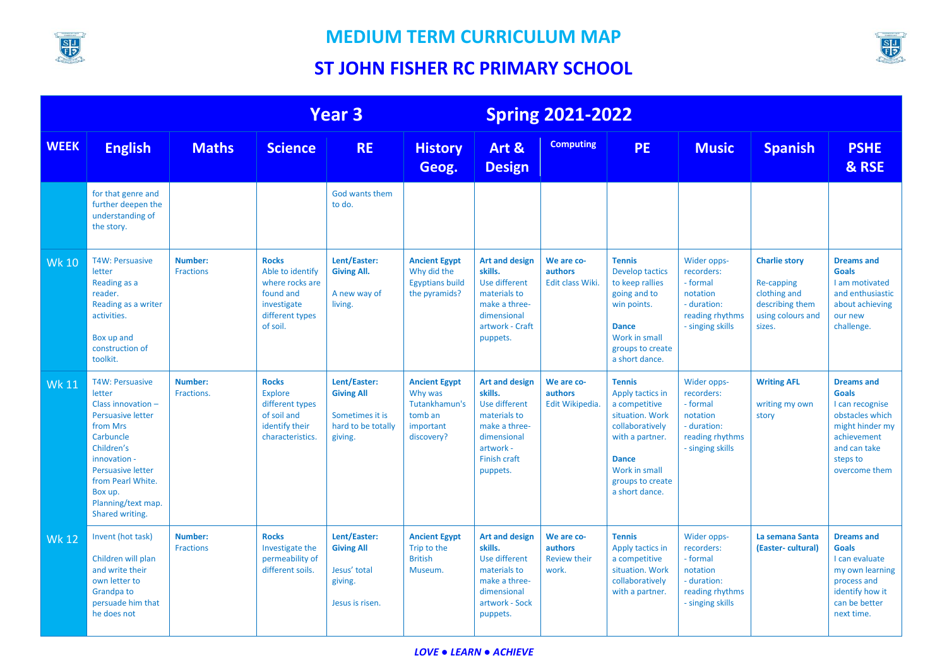

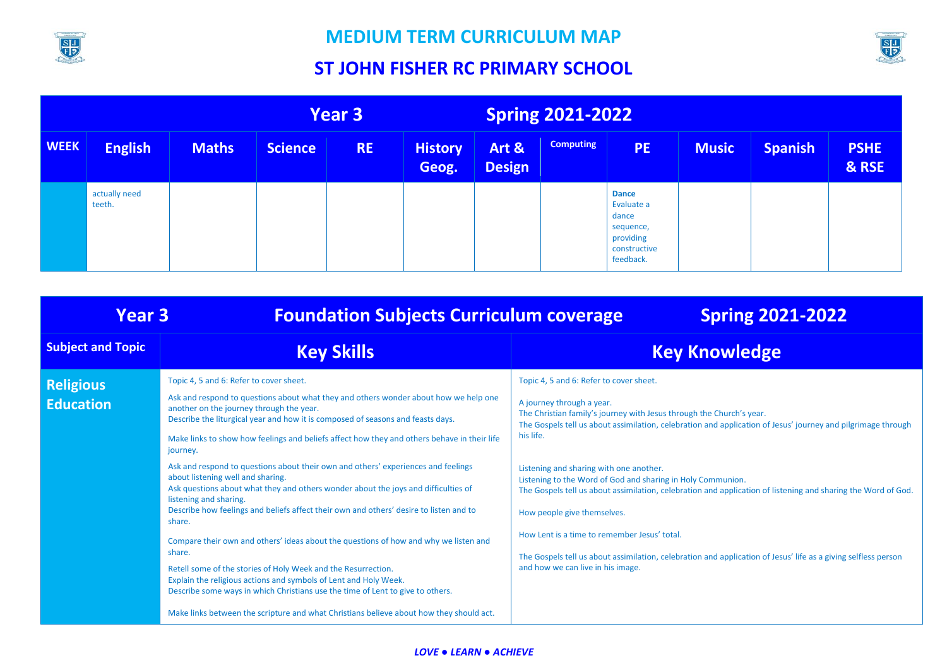

# **ST JOHN FISHER RC PRIMARY SCHOOL**

SIJ<br>FR

| <b>Year 3</b> |                         |              | <b>Spring 2021-2022</b> |           |                         |                        |                  |                                                                                            |              |                |                      |
|---------------|-------------------------|--------------|-------------------------|-----------|-------------------------|------------------------|------------------|--------------------------------------------------------------------------------------------|--------------|----------------|----------------------|
| <b>WEEK</b>   | <b>English</b>          | <b>Maths</b> | <b>Science</b>          | <b>RE</b> | <b>History</b><br>Geog. | Art &<br><b>Design</b> | <b>Computing</b> | PE <sub>1</sub>                                                                            | <b>Music</b> | <b>Spanish</b> | <b>PSHE</b><br>& RSE |
|               | actually need<br>teeth. |              |                         |           |                         |                        |                  | <b>Dance</b><br>Evaluate a<br>dance<br>sequence,<br>providing<br>constructive<br>feedback. |              |                |                      |

| <b>Year 3</b>                        | <b>Foundation Subjects Curriculum coverage</b>                                                                                                                                                                                                                                                                                                                                                                                                                                                                                                                                                                                                                                                                                                                                                                                                                                                                                                                                                                                                                                                                                              | <b>Spring 2021-2022</b>                                                                                                                                                                                                                                                                                                                                                                                                                                                                                                                                                                                                                                                                                                                    |
|--------------------------------------|---------------------------------------------------------------------------------------------------------------------------------------------------------------------------------------------------------------------------------------------------------------------------------------------------------------------------------------------------------------------------------------------------------------------------------------------------------------------------------------------------------------------------------------------------------------------------------------------------------------------------------------------------------------------------------------------------------------------------------------------------------------------------------------------------------------------------------------------------------------------------------------------------------------------------------------------------------------------------------------------------------------------------------------------------------------------------------------------------------------------------------------------|--------------------------------------------------------------------------------------------------------------------------------------------------------------------------------------------------------------------------------------------------------------------------------------------------------------------------------------------------------------------------------------------------------------------------------------------------------------------------------------------------------------------------------------------------------------------------------------------------------------------------------------------------------------------------------------------------------------------------------------------|
| <b>Subject and Topic</b>             | <b>Key Skills</b>                                                                                                                                                                                                                                                                                                                                                                                                                                                                                                                                                                                                                                                                                                                                                                                                                                                                                                                                                                                                                                                                                                                           | <b>Key Knowledge</b>                                                                                                                                                                                                                                                                                                                                                                                                                                                                                                                                                                                                                                                                                                                       |
| <b>Religious</b><br><b>Education</b> | Topic 4, 5 and 6: Refer to cover sheet.<br>Ask and respond to questions about what they and others wonder about how we help one<br>another on the journey through the year.<br>Describe the liturgical year and how it is composed of seasons and feasts days.<br>Make links to show how feelings and beliefs affect how they and others behave in their life<br>journey.<br>Ask and respond to questions about their own and others' experiences and feelings<br>about listening well and sharing.<br>Ask questions about what they and others wonder about the joys and difficulties of<br>listening and sharing.<br>Describe how feelings and beliefs affect their own and others' desire to listen and to<br>share.<br>Compare their own and others' ideas about the questions of how and why we listen and<br>share.<br>Retell some of the stories of Holy Week and the Resurrection.<br>Explain the religious actions and symbols of Lent and Holy Week.<br>Describe some ways in which Christians use the time of Lent to give to others.<br>Make links between the scripture and what Christians believe about how they should act. | Topic 4, 5 and 6: Refer to cover sheet.<br>A journey through a year.<br>The Christian family's journey with Jesus through the Church's year.<br>The Gospels tell us about assimilation, celebration and application of Jesus' journey and pilgrimage through<br>his life.<br>Listening and sharing with one another.<br>Listening to the Word of God and sharing in Holy Communion.<br>The Gospels tell us about assimilation, celebration and application of listening and sharing the Word of God.<br>How people give themselves.<br>How Lent is a time to remember Jesus' total.<br>The Gospels tell us about assimilation, celebration and application of Jesus' life as a giving selfless person<br>and how we can live in his image. |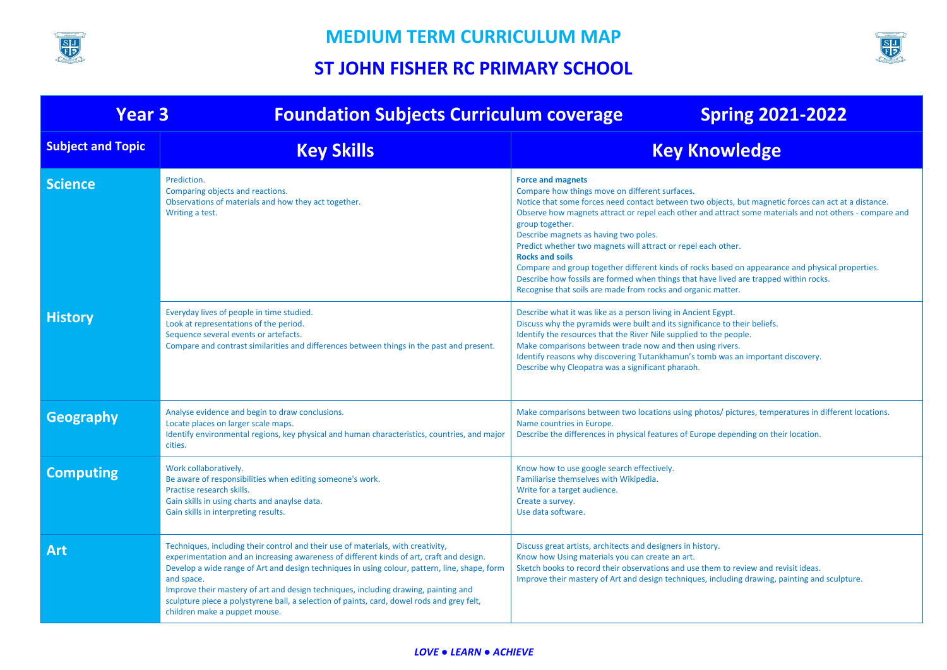



| <b>Foundation Subjects Curriculum coverage</b><br><b>Year 3</b><br><b>Spring 2021-2022</b> |                                                                                                                                                                                                                                                                                                                                                                                                                                                                                                                   |                                                                                                                                                                                                                                                                                                                                                                                                                                                                                                                                                                                                                                                                                                                   |  |  |  |  |
|--------------------------------------------------------------------------------------------|-------------------------------------------------------------------------------------------------------------------------------------------------------------------------------------------------------------------------------------------------------------------------------------------------------------------------------------------------------------------------------------------------------------------------------------------------------------------------------------------------------------------|-------------------------------------------------------------------------------------------------------------------------------------------------------------------------------------------------------------------------------------------------------------------------------------------------------------------------------------------------------------------------------------------------------------------------------------------------------------------------------------------------------------------------------------------------------------------------------------------------------------------------------------------------------------------------------------------------------------------|--|--|--|--|
| <b>Subject and Topic</b>                                                                   | <b>Key Skills</b>                                                                                                                                                                                                                                                                                                                                                                                                                                                                                                 | <b>Key Knowledge</b>                                                                                                                                                                                                                                                                                                                                                                                                                                                                                                                                                                                                                                                                                              |  |  |  |  |
| <b>Science</b>                                                                             | Prediction.<br>Comparing objects and reactions.<br>Observations of materials and how they act together.<br>Writing a test.                                                                                                                                                                                                                                                                                                                                                                                        | <b>Force and magnets</b><br>Compare how things move on different surfaces.<br>Notice that some forces need contact between two objects, but magnetic forces can act at a distance.<br>Observe how magnets attract or repel each other and attract some materials and not others - compare and<br>group together.<br>Describe magnets as having two poles.<br>Predict whether two magnets will attract or repel each other.<br><b>Rocks and soils</b><br>Compare and group together different kinds of rocks based on appearance and physical properties.<br>Describe how fossils are formed when things that have lived are trapped within rocks.<br>Recognise that soils are made from rocks and organic matter. |  |  |  |  |
| <b>History</b>                                                                             | Everyday lives of people in time studied.<br>Look at representations of the period.<br>Sequence several events or artefacts.<br>Compare and contrast similarities and differences between things in the past and present.                                                                                                                                                                                                                                                                                         | Describe what it was like as a person living in Ancient Egypt.<br>Discuss why the pyramids were built and its significance to their beliefs.<br>Identify the resources that the River Nile supplied to the people.<br>Make comparisons between trade now and then using rivers.<br>Identify reasons why discovering Tutankhamun's tomb was an important discovery.<br>Describe why Cleopatra was a significant pharaoh.                                                                                                                                                                                                                                                                                           |  |  |  |  |
| Geography                                                                                  | Analyse evidence and begin to draw conclusions.<br>Locate places on larger scale maps.<br>Identify environmental regions, key physical and human characteristics, countries, and major<br>cities.                                                                                                                                                                                                                                                                                                                 | Make comparisons between two locations using photos/ pictures, temperatures in different locations.<br>Name countries in Europe.<br>Describe the differences in physical features of Europe depending on their location.                                                                                                                                                                                                                                                                                                                                                                                                                                                                                          |  |  |  |  |
| <b>Computing</b>                                                                           | Work collaboratively.<br>Be aware of responsibilities when editing someone's work.<br>Practise research skills.<br>Gain skills in using charts and anaylse data.<br>Gain skills in interpreting results.                                                                                                                                                                                                                                                                                                          | Know how to use google search effectively.<br>Familiarise themselves with Wikipedia.<br>Write for a target audience.<br>Create a survey.<br>Use data software.                                                                                                                                                                                                                                                                                                                                                                                                                                                                                                                                                    |  |  |  |  |
| <b>Art</b>                                                                                 | Techniques, including their control and their use of materials, with creativity,<br>experimentation and an increasing awareness of different kinds of art, craft and design.<br>Develop a wide range of Art and design techniques in using colour, pattern, line, shape, form<br>and space.<br>Improve their mastery of art and design techniques, including drawing, painting and<br>sculpture piece a polystyrene ball, a selection of paints, card, dowel rods and grey felt,<br>children make a puppet mouse. | Discuss great artists, architects and designers in history.<br>Know how Using materials you can create an art.<br>Sketch books to record their observations and use them to review and revisit ideas.<br>Improve their mastery of Art and design techniques, including drawing, painting and sculpture.                                                                                                                                                                                                                                                                                                                                                                                                           |  |  |  |  |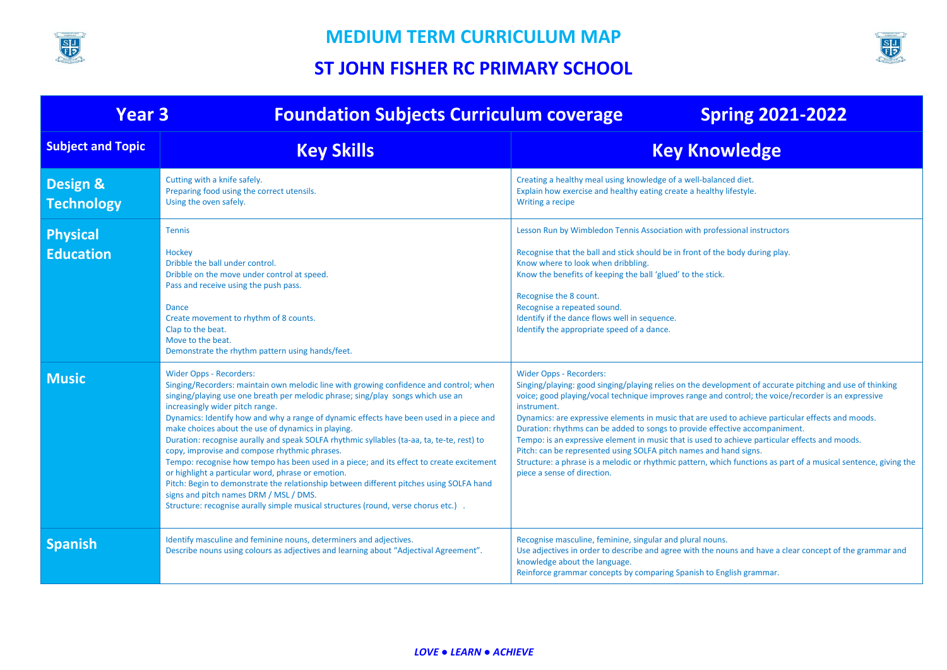



| <b>Year 3</b>                            | <b>Foundation Subjects Curriculum coverage</b>                                                                                                                                                                                                                                                                                                                                                                                                                                                                                                                                                                                                                                                                                                                                                                                                                                                                              | <b>Spring 2021-2022</b>                                                                                                                                                                                                                                                                                                                                                                                                                                                                                                                                                                                                                                                                                                                                                       |
|------------------------------------------|-----------------------------------------------------------------------------------------------------------------------------------------------------------------------------------------------------------------------------------------------------------------------------------------------------------------------------------------------------------------------------------------------------------------------------------------------------------------------------------------------------------------------------------------------------------------------------------------------------------------------------------------------------------------------------------------------------------------------------------------------------------------------------------------------------------------------------------------------------------------------------------------------------------------------------|-------------------------------------------------------------------------------------------------------------------------------------------------------------------------------------------------------------------------------------------------------------------------------------------------------------------------------------------------------------------------------------------------------------------------------------------------------------------------------------------------------------------------------------------------------------------------------------------------------------------------------------------------------------------------------------------------------------------------------------------------------------------------------|
| <b>Subject and Topic</b>                 | <b>Key Skills</b>                                                                                                                                                                                                                                                                                                                                                                                                                                                                                                                                                                                                                                                                                                                                                                                                                                                                                                           | <b>Key Knowledge</b>                                                                                                                                                                                                                                                                                                                                                                                                                                                                                                                                                                                                                                                                                                                                                          |
| <b>Design &amp;</b><br><b>Technology</b> | Cutting with a knife safely.<br>Preparing food using the correct utensils.<br>Using the oven safely.                                                                                                                                                                                                                                                                                                                                                                                                                                                                                                                                                                                                                                                                                                                                                                                                                        | Creating a healthy meal using knowledge of a well-balanced diet.<br>Explain how exercise and healthy eating create a healthy lifestyle.<br>Writing a recipe                                                                                                                                                                                                                                                                                                                                                                                                                                                                                                                                                                                                                   |
| <b>Physical</b><br>Education             | Tennis<br>Hockey<br>Dribble the ball under control.<br>Dribble on the move under control at speed.<br>Pass and receive using the push pass.<br>Dance<br>Create movement to rhythm of 8 counts.<br>Clap to the beat.<br>Move to the beat.<br>Demonstrate the rhythm pattern using hands/feet.                                                                                                                                                                                                                                                                                                                                                                                                                                                                                                                                                                                                                                | Lesson Run by Wimbledon Tennis Association with professional instructors<br>Recognise that the ball and stick should be in front of the body during play.<br>Know where to look when dribbling.<br>Know the benefits of keeping the ball 'glued' to the stick.<br>Recognise the 8 count.<br>Recognise a repeated sound.<br>Identify if the dance flows well in sequence.<br>Identify the appropriate speed of a dance.                                                                                                                                                                                                                                                                                                                                                        |
| <b>Music</b>                             | <b>Wider Opps - Recorders:</b><br>Singing/Recorders: maintain own melodic line with growing confidence and control; when<br>singing/playing use one breath per melodic phrase; sing/play songs which use an<br>increasingly wider pitch range.<br>Dynamics: Identify how and why a range of dynamic effects have been used in a piece and<br>make choices about the use of dynamics in playing.<br>Duration: recognise aurally and speak SOLFA rhythmic syllables (ta-aa, ta, te-te, rest) to<br>copy, improvise and compose rhythmic phrases.<br>Tempo: recognise how tempo has been used in a piece; and its effect to create excitement<br>or highlight a particular word, phrase or emotion.<br>Pitch: Begin to demonstrate the relationship between different pitches using SOLFA hand<br>signs and pitch names DRM / MSL / DMS.<br>Structure: recognise aurally simple musical structures (round, verse chorus etc.). | <b>Wider Opps - Recorders:</b><br>Singing/playing: good singing/playing relies on the development of accurate pitching and use of thinking<br>voice; good playing/vocal technique improves range and control; the voice/recorder is an expressive<br>instrument.<br>Dynamics: are expressive elements in music that are used to achieve particular effects and moods.<br>Duration: rhythms can be added to songs to provide effective accompaniment.<br>Tempo: is an expressive element in music that is used to achieve particular effects and moods.<br>Pitch: can be represented using SOLFA pitch names and hand signs.<br>Structure: a phrase is a melodic or rhythmic pattern, which functions as part of a musical sentence, giving the<br>piece a sense of direction. |
| <b>Spanish</b>                           | Identify masculine and feminine nouns, determiners and adjectives.<br>Describe nouns using colours as adjectives and learning about "Adjectival Agreement".                                                                                                                                                                                                                                                                                                                                                                                                                                                                                                                                                                                                                                                                                                                                                                 | Recognise masculine, feminine, singular and plural nouns.<br>Use adjectives in order to describe and agree with the nouns and have a clear concept of the grammar and<br>knowledge about the language.<br>Reinforce grammar concepts by comparing Spanish to English grammar.                                                                                                                                                                                                                                                                                                                                                                                                                                                                                                 |